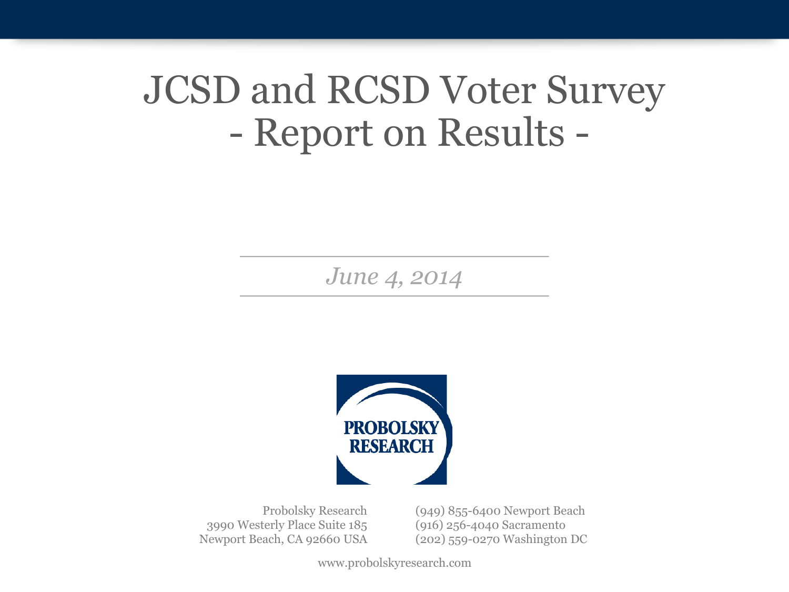# JCSD and RCSD Voter Survey - Report on Results -

*June 4, 2014* 



Probolsky Research 3990 Westerly Place Suite 185 Newport Beach, CA 92660 USA (949) 855-6400 Newport Beach (916) 256-4040 Sacramento (202) 559-0270 Washington DC

www.probolskyresearch.com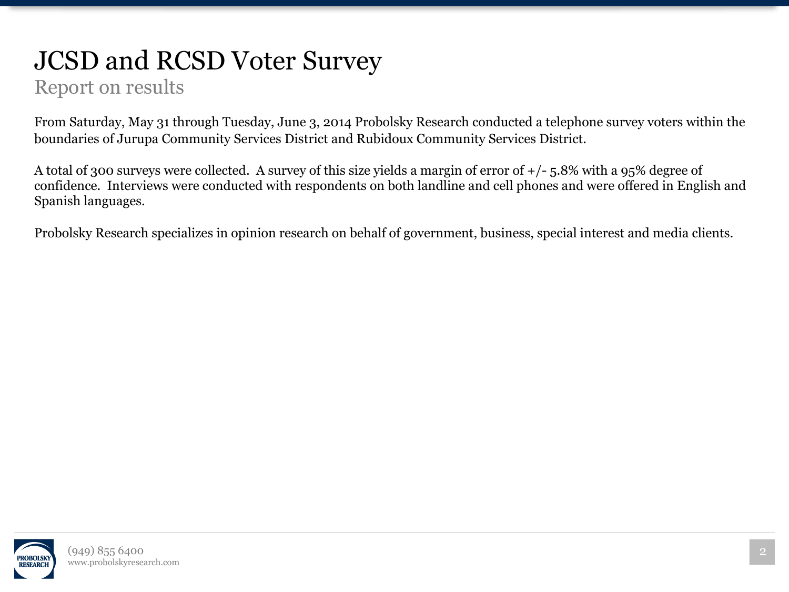## JCSD and RCSD Voter Survey

#### Report on results

From Saturday, May 31 through Tuesday, June 3, 2014 Probolsky Research conducted a telephone survey voters within the boundaries of Jurupa Community Services District and Rubidoux Community Services District.

A total of 300 surveys were collected. A survey of this size yields a margin of error of +/- 5.8% with a 95% degree of confidence. Interviews were conducted with respondents on both landline and cell phones and were offered in English and Spanish languages.

Probolsky Research specializes in opinion research on behalf of government, business, special interest and media clients.

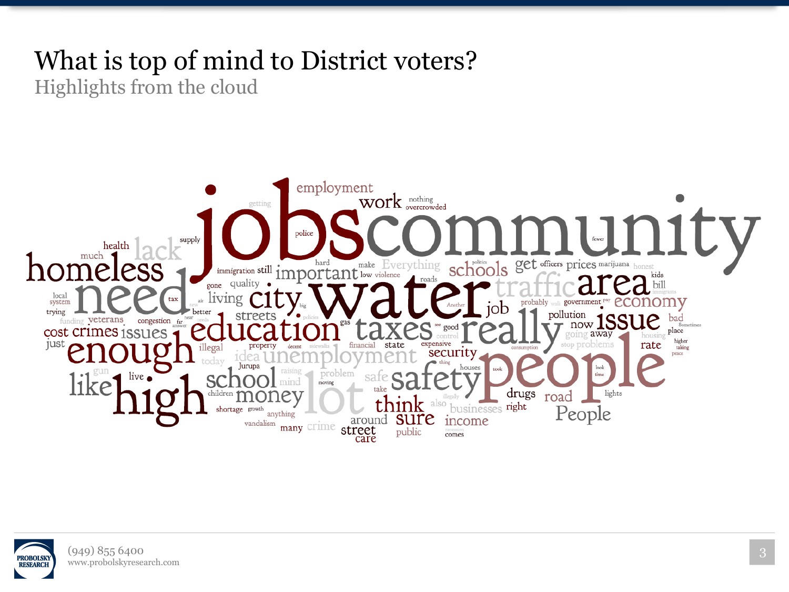## What is top of mind to District voters?

Highlights from the cloud



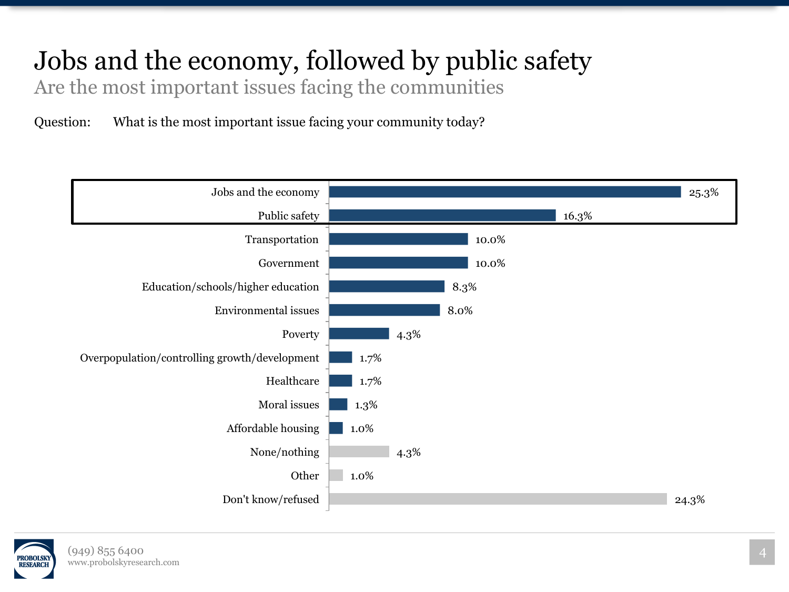## Jobs and the economy, followed by public safety

Are the most important issues facing the communities

Question: What is the most important issue facing your community today?



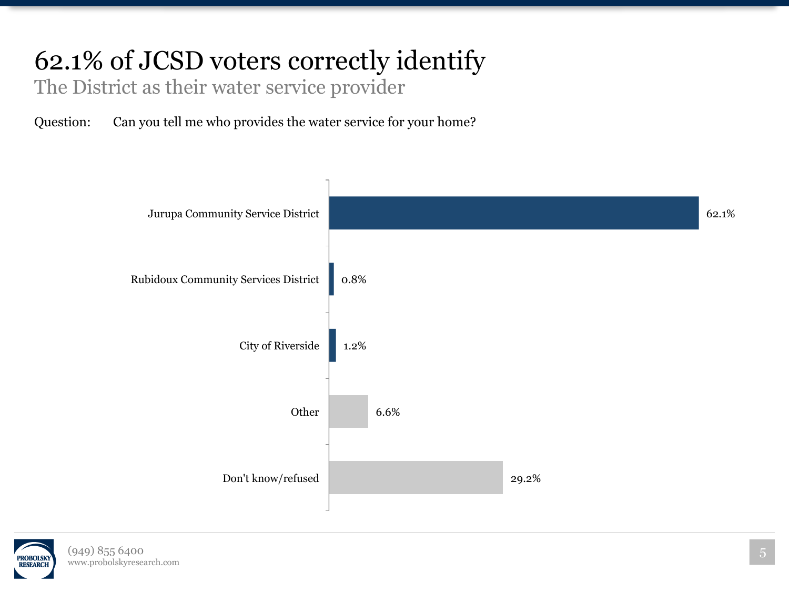## 62.1% of JCSD voters correctly identify

The District as their water service provider

Question: Can you tell me who provides the water service for your home?



![](_page_4_Picture_4.jpeg)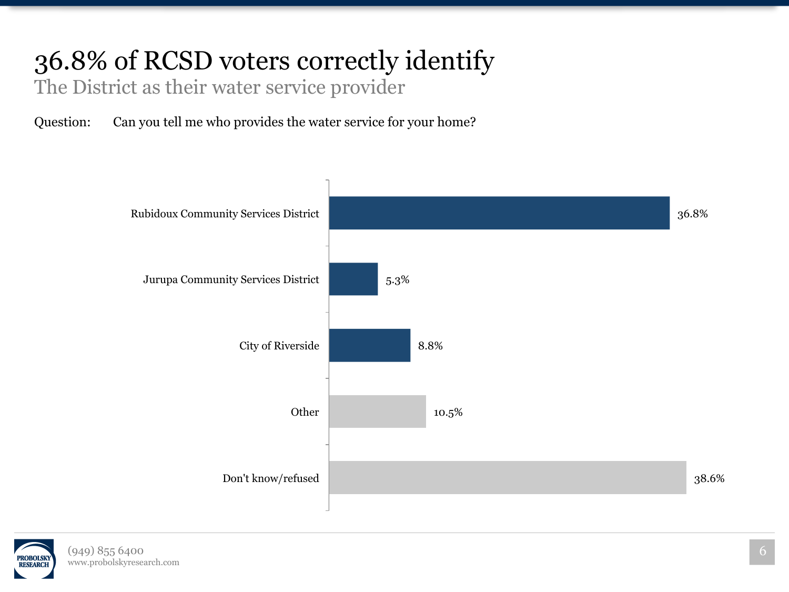## 36.8% of RCSD voters correctly identify

The District as their water service provider

Question: Can you tell me who provides the water service for your home?

![](_page_5_Figure_3.jpeg)

![](_page_5_Picture_4.jpeg)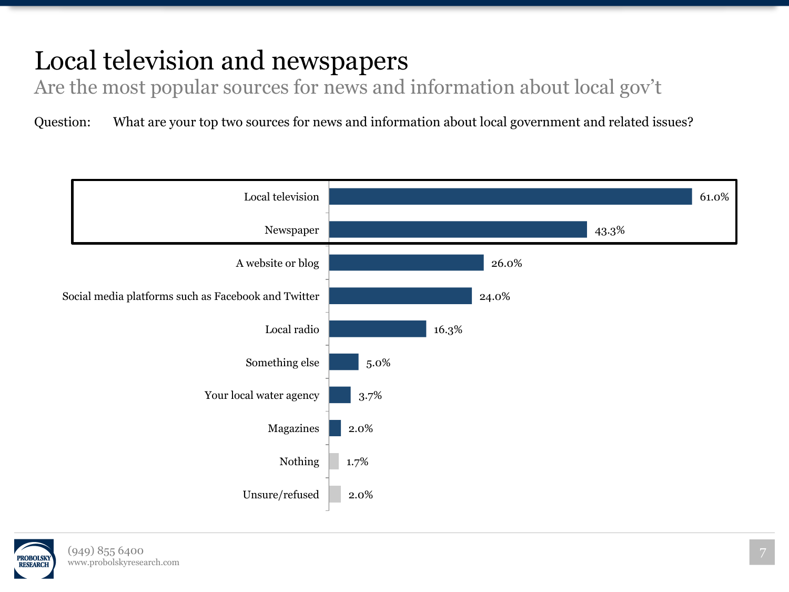## Local television and newspapers

Are the most popular sources for news and information about local gov't

![](_page_6_Figure_3.jpeg)

![](_page_6_Picture_4.jpeg)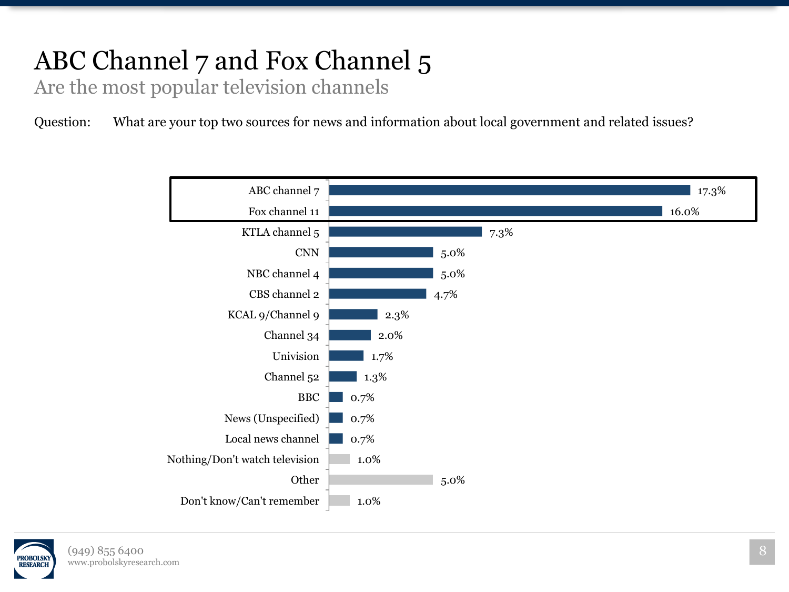## ABC Channel 7 and Fox Channel 5

Are the most popular television channels

![](_page_7_Figure_3.jpeg)

![](_page_7_Picture_4.jpeg)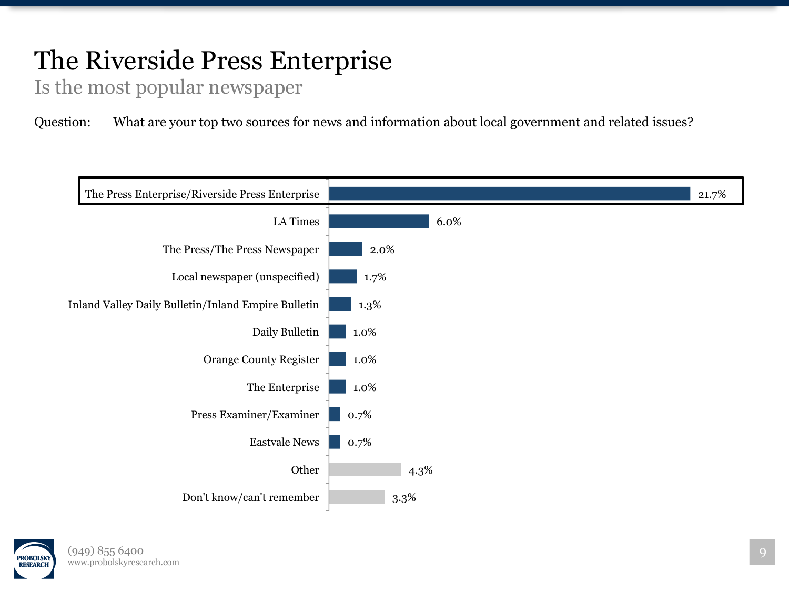## The Riverside Press Enterprise

Is the most popular newspaper

![](_page_8_Figure_3.jpeg)

![](_page_8_Picture_4.jpeg)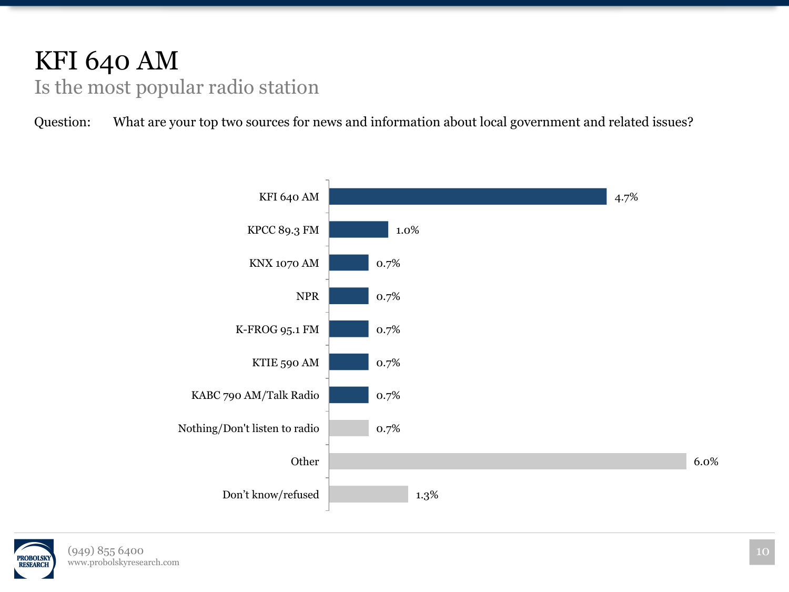#### KFI 640 AM Is the most popular radio station

![](_page_9_Figure_2.jpeg)

![](_page_9_Picture_3.jpeg)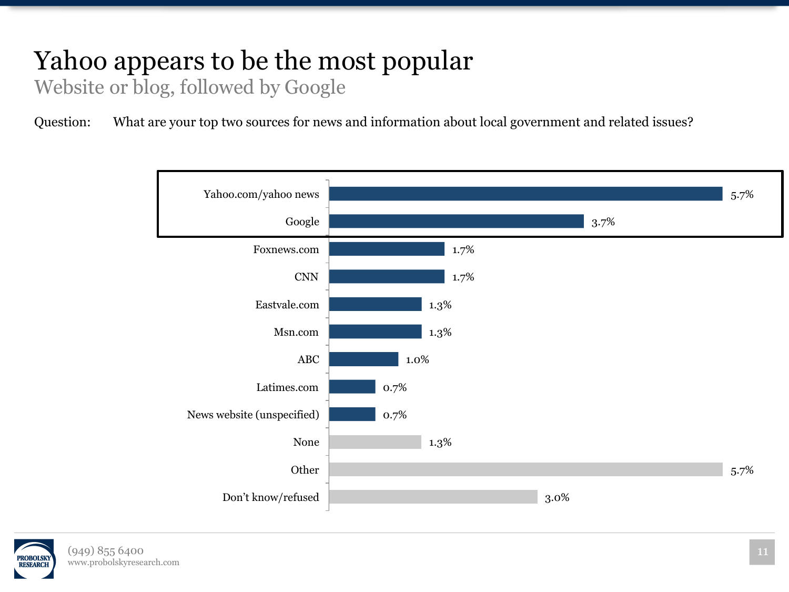## Yahoo appears to be the most popular

Website or blog, followed by Google

![](_page_10_Figure_3.jpeg)

![](_page_10_Picture_4.jpeg)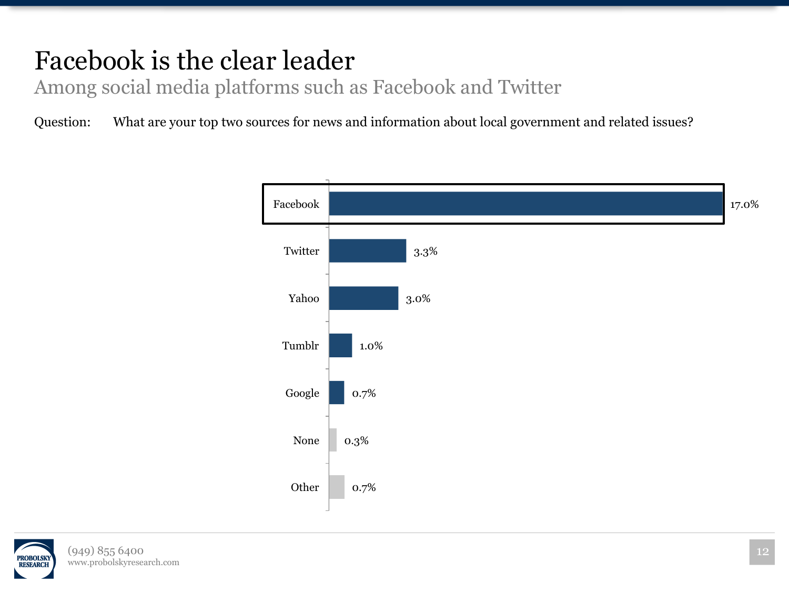## Facebook is the clear leader

Among social media platforms such as Facebook and Twitter

![](_page_11_Figure_3.jpeg)

![](_page_11_Picture_4.jpeg)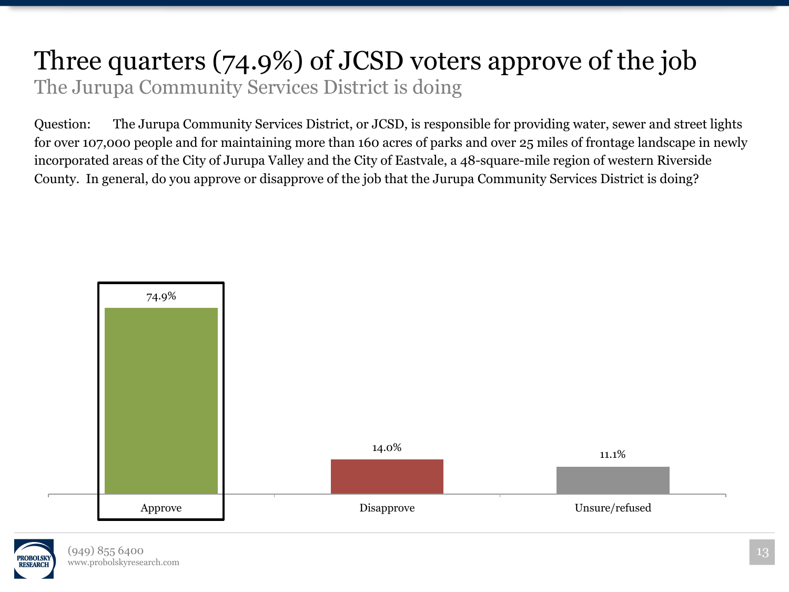#### Three quarters (74.9%) of JCSD voters approve of the job The Jurupa Community Services District is doing

Question: The Jurupa Community Services District, or JCSD, is responsible for providing water, sewer and street lights for over 107,000 people and for maintaining more than 160 acres of parks and over 25 miles of frontage landscape in newly incorporated areas of the City of Jurupa Valley and the City of Eastvale, a 48-square-mile region of western Riverside County. In general, do you approve or disapprove of the job that the Jurupa Community Services District is doing?

![](_page_12_Figure_2.jpeg)

![](_page_12_Picture_3.jpeg)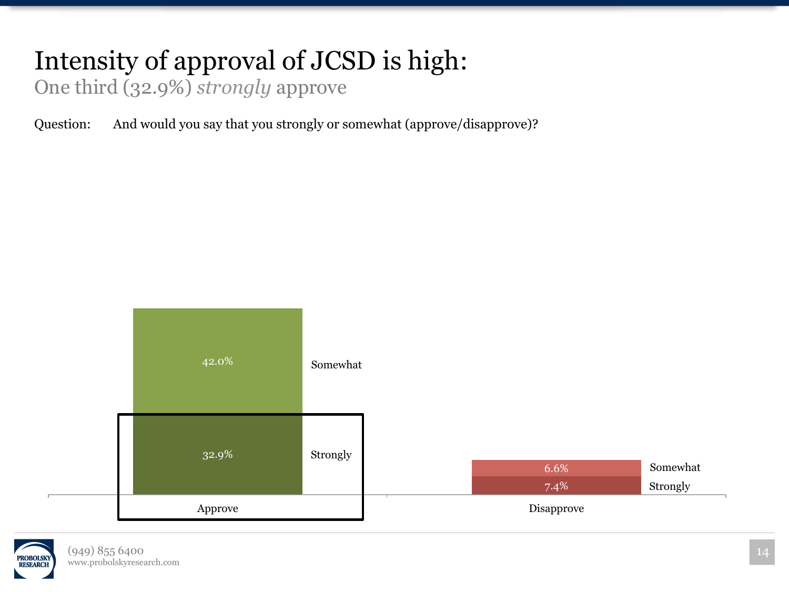## Intensity of approval of JCSD is high:

One third (32.9%) *strongly* approve

Question: And would you say that you strongly or somewhat (approve/disapprove)?

![](_page_13_Figure_3.jpeg)

![](_page_13_Picture_4.jpeg)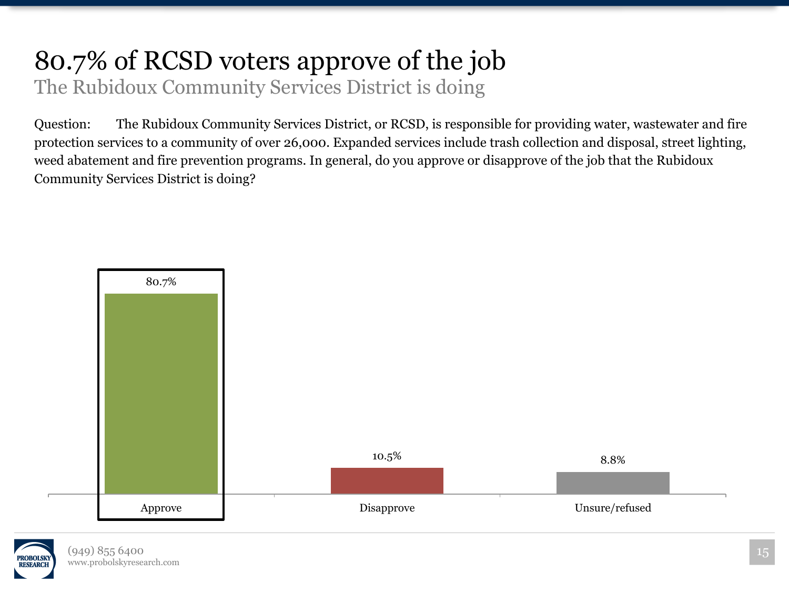# 80.7% of RCSD voters approve of the job

The Rubidoux Community Services District is doing

Question: The Rubidoux Community Services District, or RCSD, is responsible for providing water, wastewater and fire protection services to a community of over 26,000. Expanded services include trash collection and disposal, street lighting, weed abatement and fire prevention programs. In general, do you approve or disapprove of the job that the Rubidoux Community Services District is doing?

![](_page_14_Figure_3.jpeg)

![](_page_14_Picture_4.jpeg)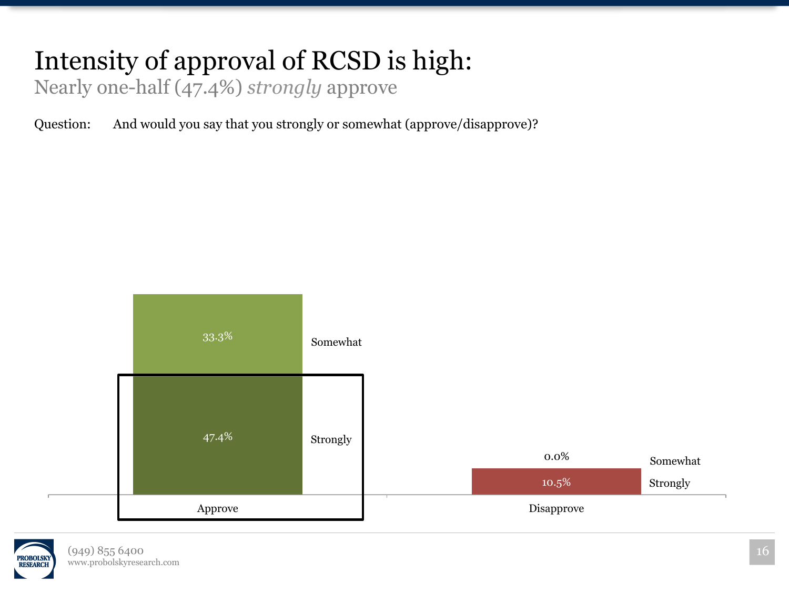## Intensity of approval of RCSD is high:

Nearly one-half (47.4%) *strongly* approve

Question: And would you say that you strongly or somewhat (approve/disapprove)?

![](_page_15_Figure_3.jpeg)

![](_page_15_Picture_4.jpeg)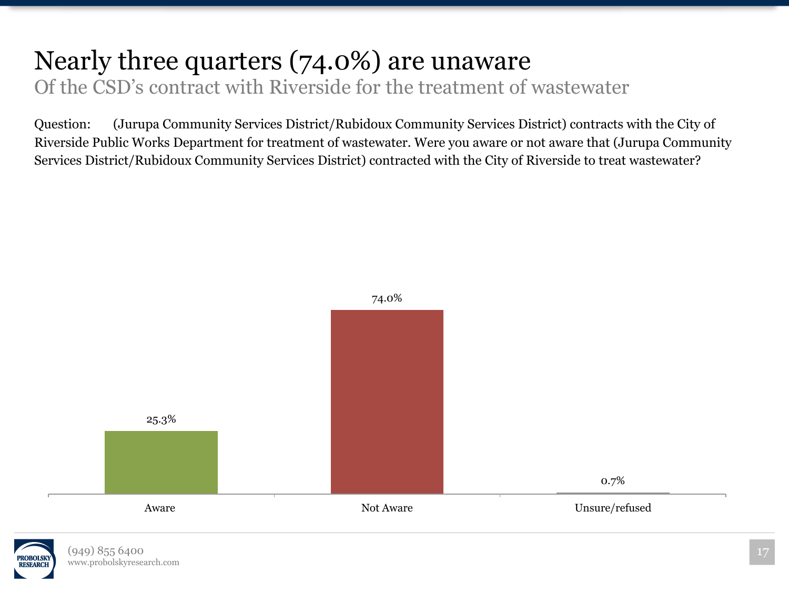#### Nearly three quarters (74.0%) are unaware Of the CSD's contract with Riverside for the treatment of wastewater

Question: (Jurupa Community Services District/Rubidoux Community Services District) contracts with the City of Riverside Public Works Department for treatment of wastewater. Were you aware or not aware that (Jurupa Community Services District/Rubidoux Community Services District) contracted with the City of Riverside to treat wastewater?

![](_page_16_Figure_2.jpeg)

![](_page_16_Picture_3.jpeg)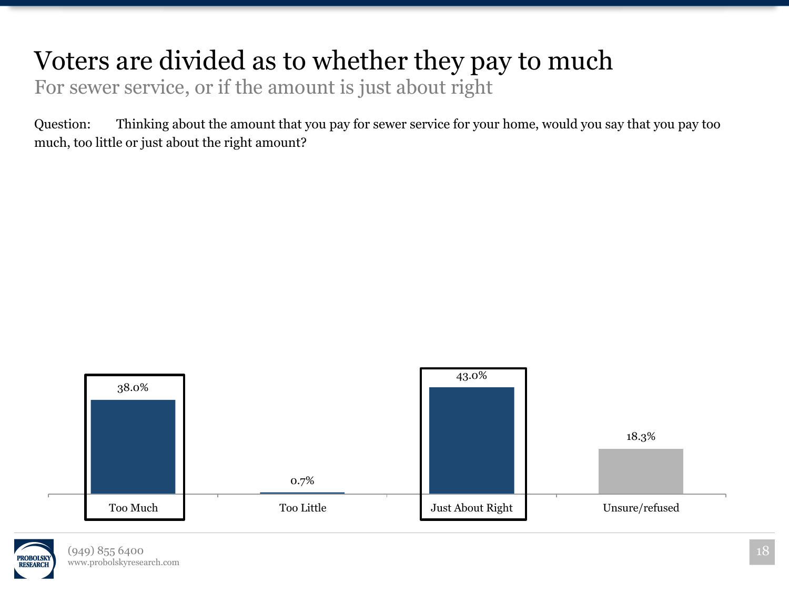#### Voters are divided as to whether they pay to much

For sewer service, or if the amount is just about right

Question: Thinking about the amount that you pay for sewer service for your home, would you say that you pay too much, too little or just about the right amount?

![](_page_17_Figure_3.jpeg)

![](_page_17_Picture_4.jpeg)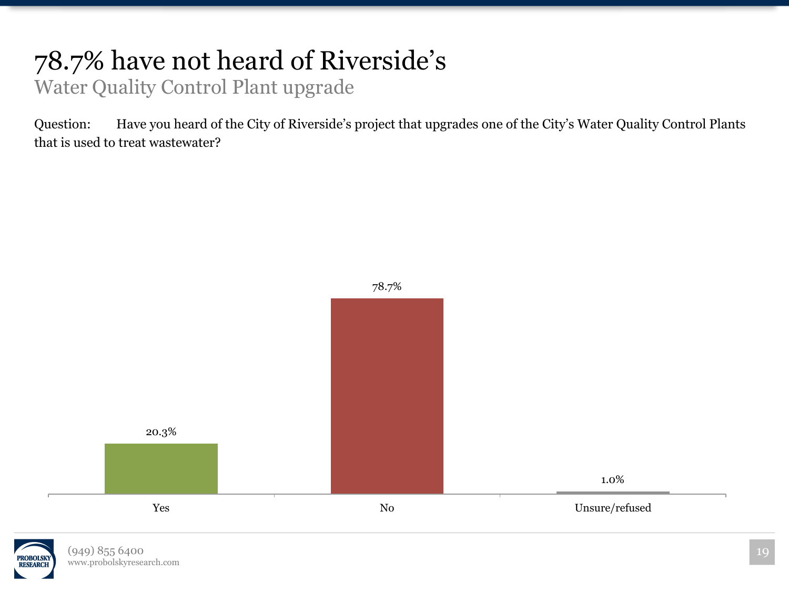#### 78.7% have not heard of Riverside's Water Quality Control Plant upgrade

Question: Have you heard of the City of Riverside's project that upgrades one of the City's Water Quality Control Plants that is used to treat wastewater?

![](_page_18_Figure_2.jpeg)

![](_page_18_Picture_3.jpeg)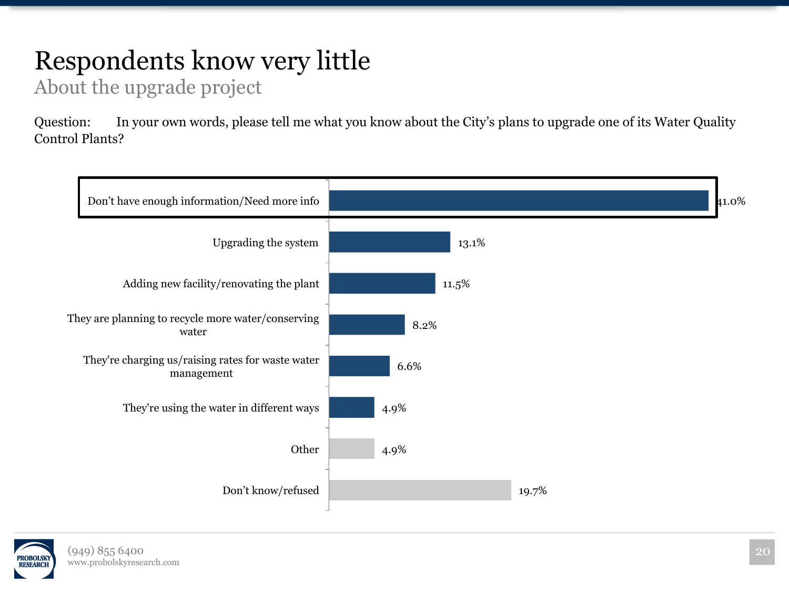## Respondents know very little

About the upgrade project

Question: In your own words, please tell me what you know about the City's plans to upgrade one of its Water Quality Control Plants?

![](_page_19_Figure_3.jpeg)

![](_page_19_Picture_4.jpeg)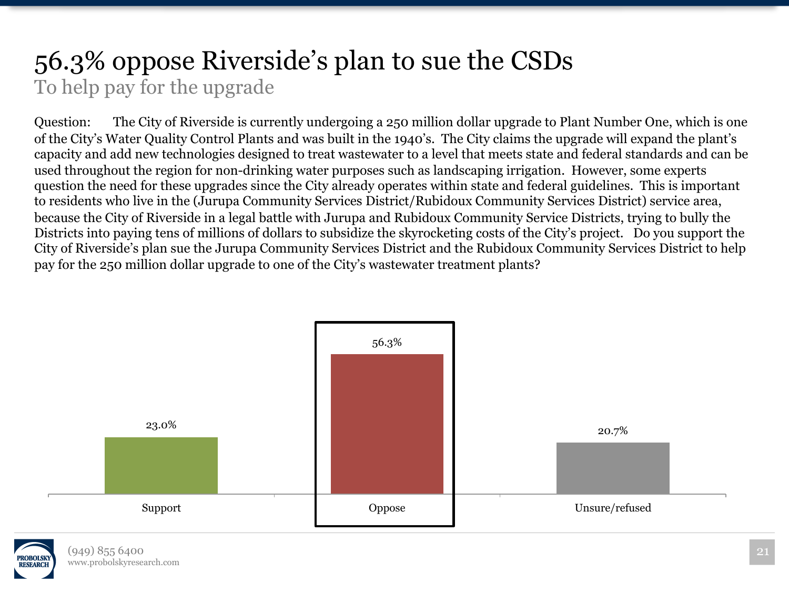#### 56.3% oppose Riverside's plan to sue the CSDs To help pay for the upgrade

Question: The City of Riverside is currently undergoing a 250 million dollar upgrade to Plant Number One, which is one of the City's Water Quality Control Plants and was built in the 1940's. The City claims the upgrade will expand the plant's capacity and add new technologies designed to treat wastewater to a level that meets state and federal standards and can be used throughout the region for non-drinking water purposes such as landscaping irrigation. However, some experts question the need for these upgrades since the City already operates within state and federal guidelines. This is important to residents who live in the (Jurupa Community Services District/Rubidoux Community Services District) service area, because the City of Riverside in a legal battle with Jurupa and Rubidoux Community Service Districts, trying to bully the Districts into paying tens of millions of dollars to subsidize the skyrocketing costs of the City's project. Do you support the City of Riverside's plan sue the Jurupa Community Services District and the Rubidoux Community Services District to help pay for the 250 million dollar upgrade to one of the City's wastewater treatment plants?

![](_page_20_Figure_2.jpeg)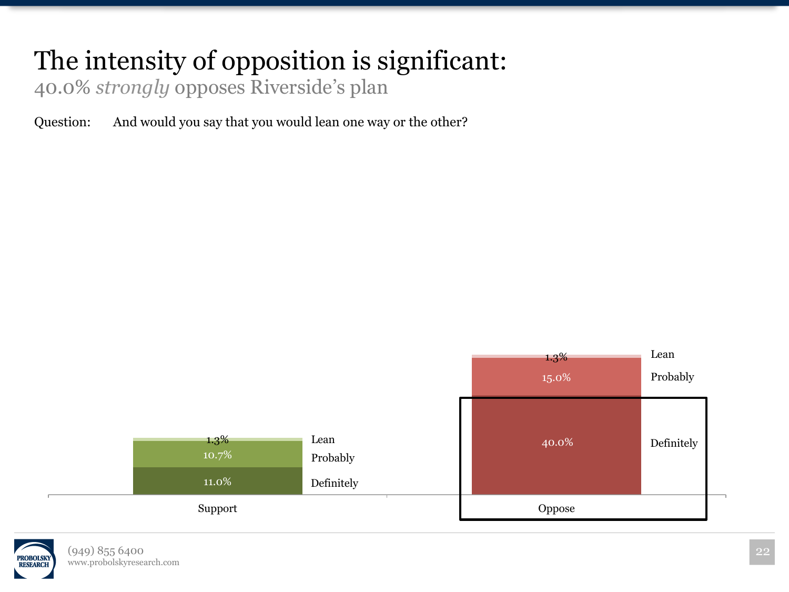#### The intensity of opposition is significant:

40.0% *strongly* opposes Riverside's plan

Question: And would you say that you would lean one way or the other?

![](_page_21_Figure_3.jpeg)

![](_page_21_Picture_4.jpeg)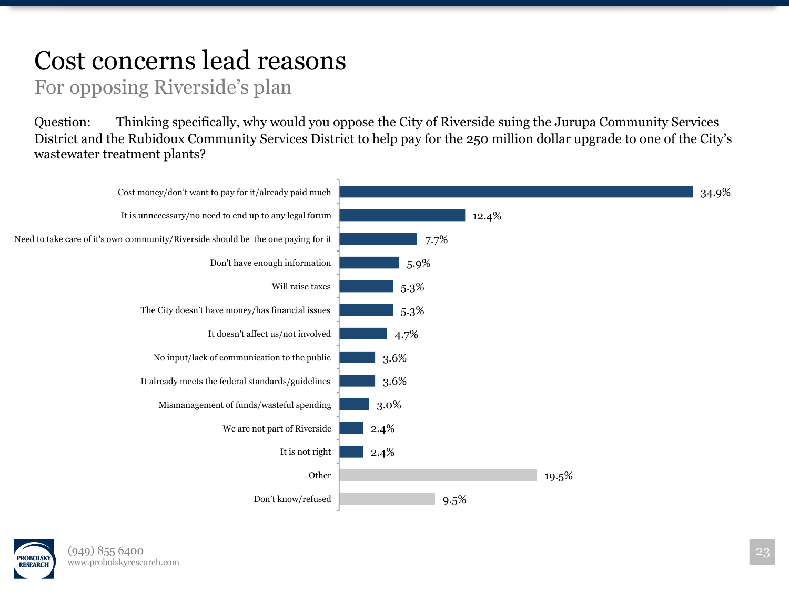#### Cost concerns lead reasons

#### For opposing Riverside's plan

Question: Thinking specifically, why would you oppose the City of Riverside suing the Jurupa Community Services District and the Rubidoux Community Services District to help pay for the 250 million dollar upgrade to one of the City's wastewater treatment plants?

![](_page_22_Figure_3.jpeg)

![](_page_22_Picture_4.jpeg)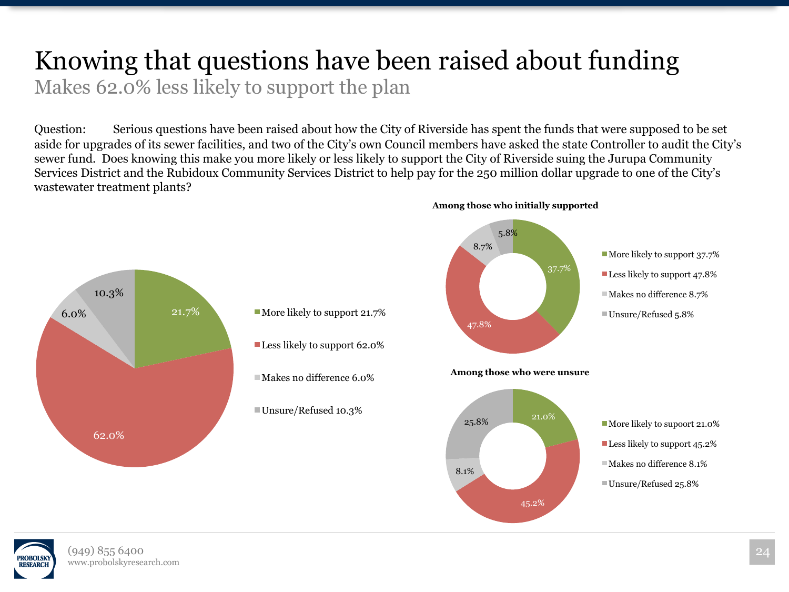#### Knowing that questions have been raised about funding Makes 62.0% less likely to support the plan

Question: Serious questions have been raised about how the City of Riverside has spent the funds that were supposed to be set aside for upgrades of its sewer facilities, and two of the City's own Council members have asked the state Controller to audit the City's sewer fund. Does knowing this make you more likely or less likely to support the City of Riverside suing the Jurupa Community Services District and the Rubidoux Community Services District to help pay for the 250 million dollar upgrade to one of the City's wastewater treatment plants?

![](_page_23_Figure_2.jpeg)

**Among those who initially supported** 

![](_page_23_Picture_4.jpeg)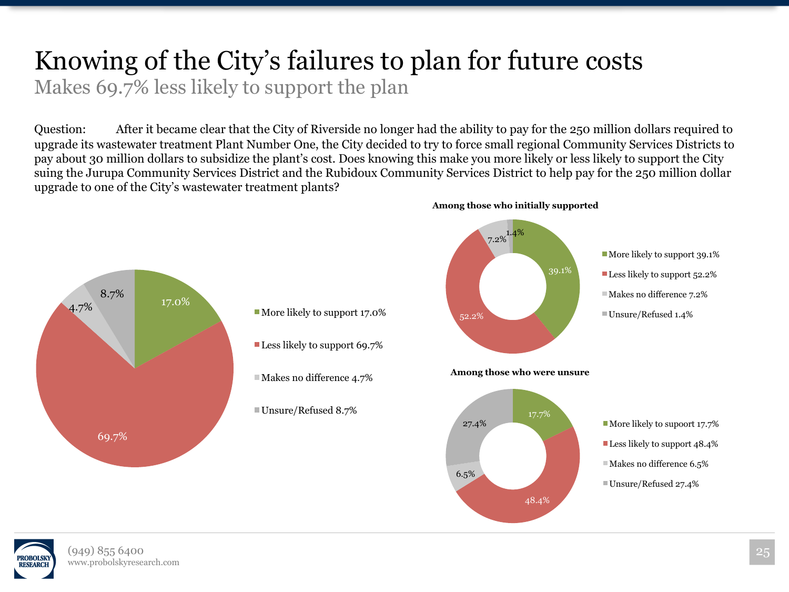## Knowing of the City's failures to plan for future costs

Makes 69.7% less likely to support the plan

Question: After it became clear that the City of Riverside no longer had the ability to pay for the 250 million dollars required to upgrade its wastewater treatment Plant Number One, the City decided to try to force small regional Community Services Districts to pay about 30 million dollars to subsidize the plant's cost. Does knowing this make you more likely or less likely to support the City suing the Jurupa Community Services District and the Rubidoux Community Services District to help pay for the 250 million dollar upgrade to one of the City's wastewater treatment plants?

![](_page_24_Figure_3.jpeg)

![](_page_24_Picture_4.jpeg)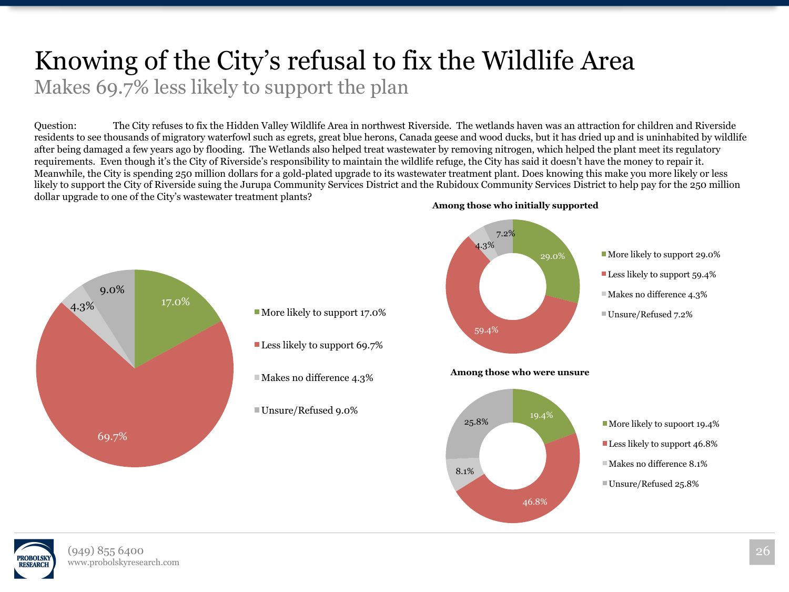# Knowing of the City's refusal to fix the Wildlife Area

Makes 69.7% less likely to support the plan

Question: The City refuses to fix the Hidden Valley Wildlife Area in northwest Riverside. The wetlands haven was an attraction for children and Riverside residents to see thousands of migratory waterfowl such as egrets, great blue herons, Canada geese and wood ducks, but it has dried up and is uninhabited by wildlife after being damaged a few years ago by flooding. The Wetlands also helped treat wastewater by removing nitrogen, which helped the plant meet its regulatory requirements. Even though it's the City of Riverside's responsibility to maintain the wildlife refuge, the City has said it doesn't have the money to repair it. Meanwhile, the City is spending 250 million dollars for a gold-plated upgrade to its wastewater treatment plant. Does knowing this make you more likely or less likely to support the City of Riverside suing the Jurupa Community Services District and the Rubidoux Community Services District to help pay for the 250 million dollar upgrade to one of the City's wastewater treatment plants?

![](_page_25_Figure_3.jpeg)

![](_page_25_Picture_4.jpeg)

![](_page_25_Picture_5.jpeg)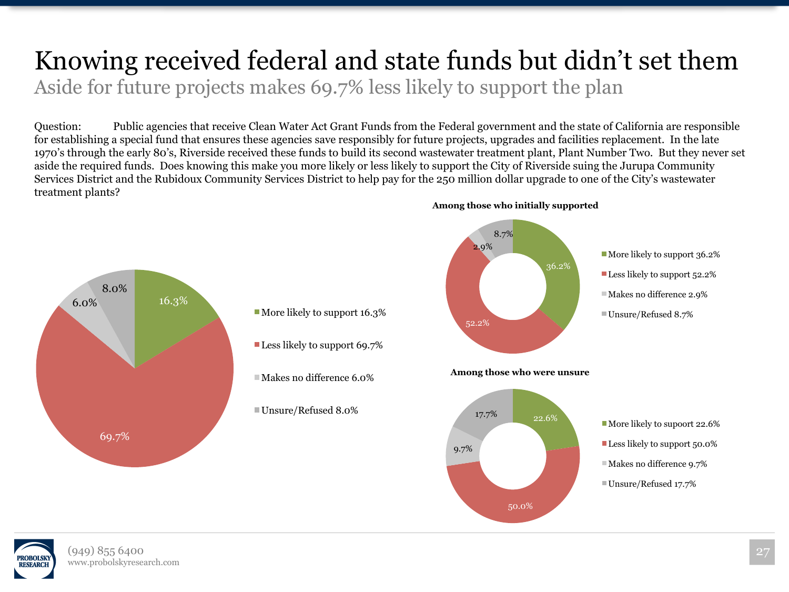#### Knowing received federal and state funds but didn't set them Aside for future projects makes 69.7% less likely to support the plan

Question: Public agencies that receive Clean Water Act Grant Funds from the Federal government and the state of California are responsible for establishing a special fund that ensures these agencies save responsibly for future projects, upgrades and facilities replacement. In the late 1970's through the early 80's, Riverside received these funds to build its second wastewater treatment plant, Plant Number Two. But they never set aside the required funds. Does knowing this make you more likely or less likely to support the City of Riverside suing the Jurupa Community Services District and the Rubidoux Community Services District to help pay for the 250 million dollar upgrade to one of the City's wastewater treatment plants?

![](_page_26_Figure_2.jpeg)

![](_page_26_Picture_3.jpeg)

![](_page_26_Picture_4.jpeg)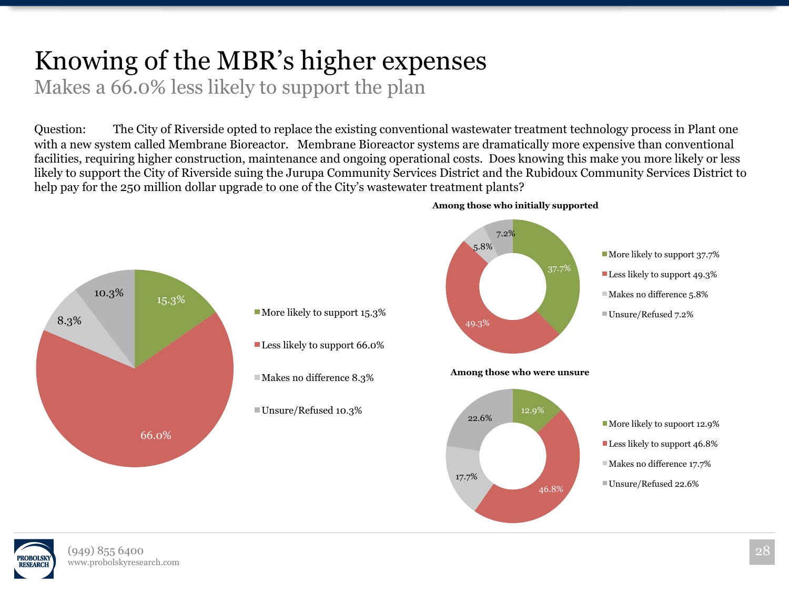## Knowing of the MBR's higher expenses

Makes a 66.0% less likely to support the plan

Question: The City of Riverside opted to replace the existing conventional wastewater treatment technology process in Plant one with a new system called Membrane Bioreactor. Membrane Bioreactor systems are dramatically more expensive than conventional facilities, requiring higher construction, maintenance and ongoing operational costs. Does knowing this make you more likely or less likely to support the City of Riverside suing the Jurupa Community Services District and the Rubidoux Community Services District to help pay for the 250 million dollar upgrade to one of the City's wastewater treatment plants?

![](_page_27_Figure_3.jpeg)

#### **Among those who initially supported**

![](_page_27_Picture_5.jpeg)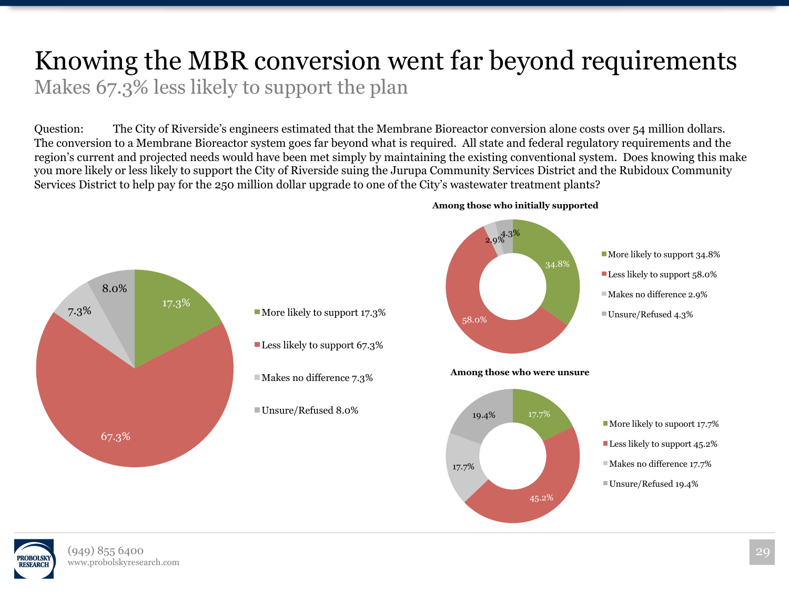#### Knowing the MBR conversion went far beyond requirements Makes 67.3% less likely to support the plan

Question: The City of Riverside's engineers estimated that the Membrane Bioreactor conversion alone costs over 54 million dollars. The conversion to a Membrane Bioreactor system goes far beyond what is required. All state and federal regulatory requirements and the region's current and projected needs would have been met simply by maintaining the existing conventional system. Does knowing this make you more likely or less likely to support the City of Riverside suing the Jurupa Community Services District and the Rubidoux Community Services District to help pay for the 250 million dollar upgrade to one of the City's wastewater treatment plants?

![](_page_28_Figure_2.jpeg)

**Among those who initially supported** 

![](_page_28_Picture_4.jpeg)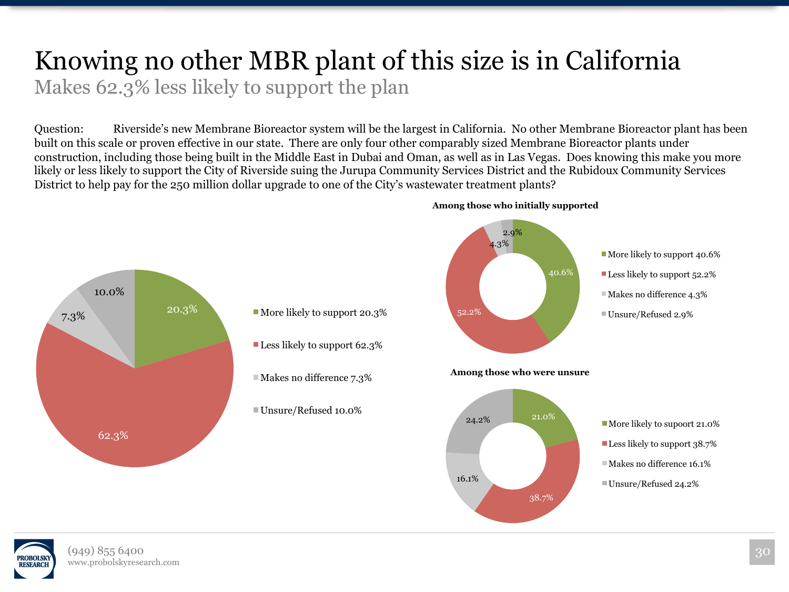## Knowing no other MBR plant of this size is in California

Makes 62.3% less likely to support the plan

Question: Riverside's new Membrane Bioreactor system will be the largest in California. No other Membrane Bioreactor plant has been built on this scale or proven effective in our state. There are only four other comparably sized Membrane Bioreactor plants under construction, including those being built in the Middle East in Dubai and Oman, as well as in Las Vegas. Does knowing this make you more likely or less likely to support the City of Riverside suing the Jurupa Community Services District and the Rubidoux Community Services District to help pay for the 250 million dollar upgrade to one of the City's wastewater treatment plants?

![](_page_29_Figure_3.jpeg)

![](_page_29_Picture_4.jpeg)

![](_page_29_Picture_5.jpeg)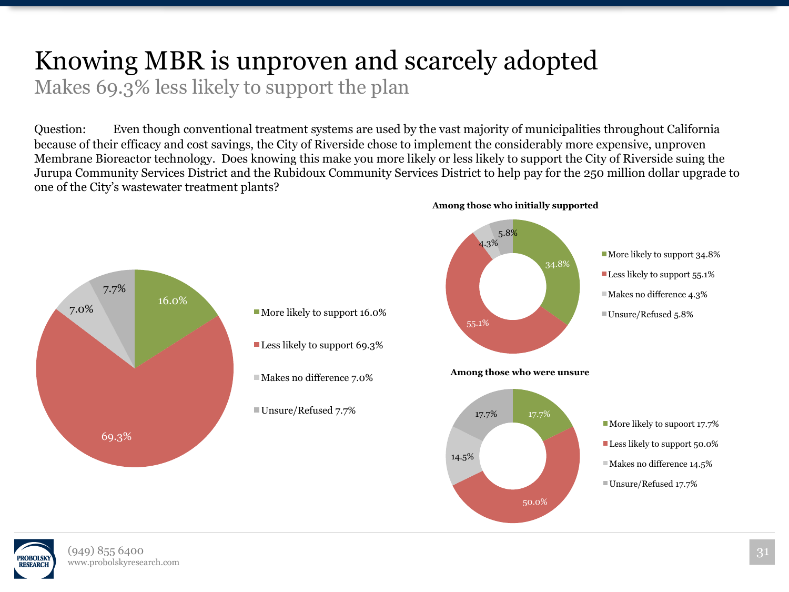## Knowing MBR is unproven and scarcely adopted

Makes 69.3% less likely to support the plan

Question: Even though conventional treatment systems are used by the vast majority of municipalities throughout California because of their efficacy and cost savings, the City of Riverside chose to implement the considerably more expensive, unproven Membrane Bioreactor technology. Does knowing this make you more likely or less likely to support the City of Riverside suing the Jurupa Community Services District and the Rubidoux Community Services District to help pay for the 250 million dollar upgrade to one of the City's wastewater treatment plants?

![](_page_30_Figure_3.jpeg)

![](_page_30_Picture_4.jpeg)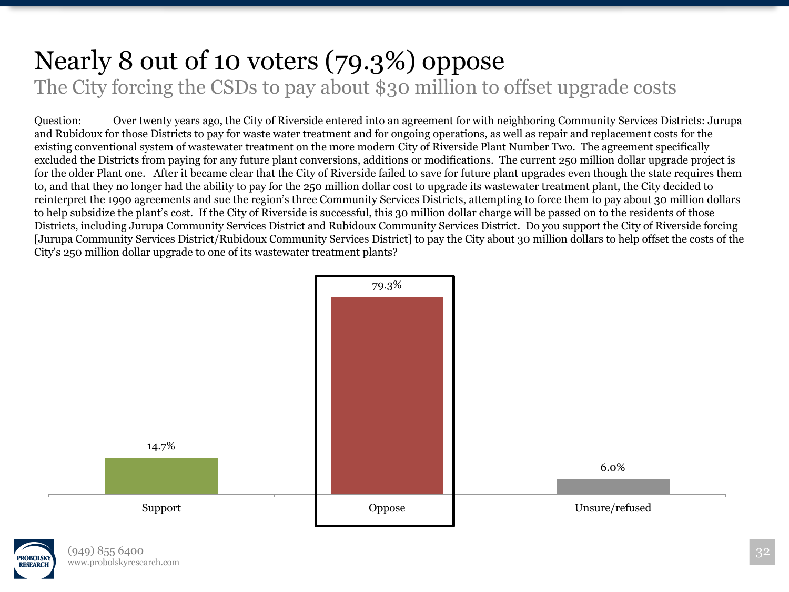#### Nearly 8 out of 10 voters (79.3%) oppose The City forcing the CSDs to pay about \$30 million to offset upgrade costs

Question: Over twenty years ago, the City of Riverside entered into an agreement for with neighboring Community Services Districts: Jurupa and Rubidoux for those Districts to pay for waste water treatment and for ongoing operations, as well as repair and replacement costs for the existing conventional system of wastewater treatment on the more modern City of Riverside Plant Number Two. The agreement specifically excluded the Districts from paying for any future plant conversions, additions or modifications. The current 250 million dollar upgrade project is for the older Plant one. After it became clear that the City of Riverside failed to save for future plant upgrades even though the state requires them to, and that they no longer had the ability to pay for the 250 million dollar cost to upgrade its wastewater treatment plant, the City decided to reinterpret the 1990 agreements and sue the region's three Community Services Districts, attempting to force them to pay about 30 million dollars to help subsidize the plant's cost. If the City of Riverside is successful, this 30 million dollar charge will be passed on to the residents of those Districts, including Jurupa Community Services District and Rubidoux Community Services District. Do you support the City of Riverside forcing [Jurupa Community Services District/Rubidoux Community Services District] to pay the City about 30 million dollars to help offset the costs of the City's 250 million dollar upgrade to one of its wastewater treatment plants?

![](_page_31_Figure_2.jpeg)

![](_page_31_Picture_3.jpeg)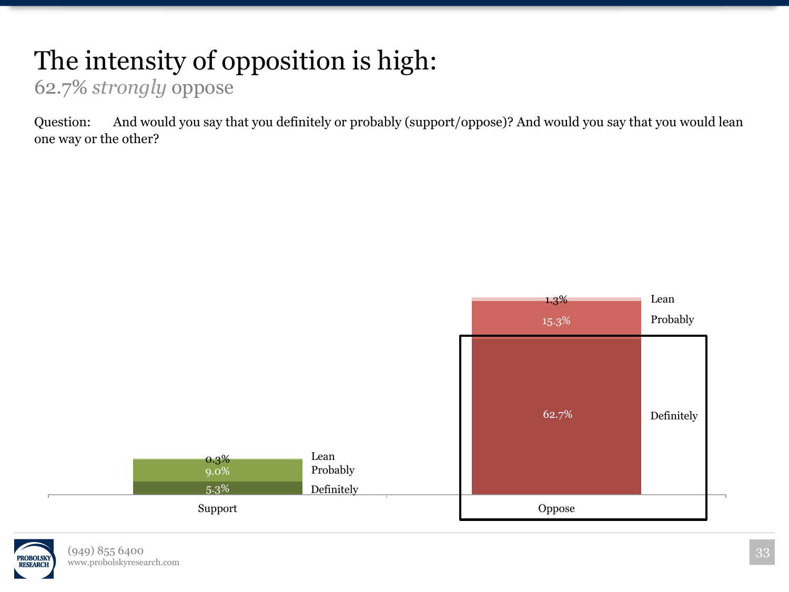## The intensity of opposition is high:

62.7% *strongly* oppose

Question: And would you say that you definitely or probably (support/oppose)? And would you say that you would lean one way or the other?

![](_page_32_Figure_3.jpeg)

![](_page_32_Picture_4.jpeg)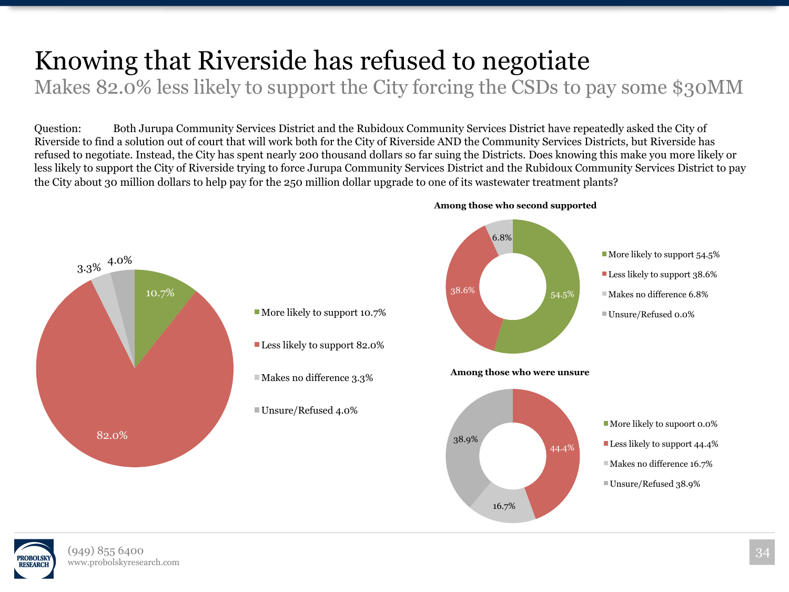## Knowing that Riverside has refused to negotiate

Makes 82.0% less likely to support the City forcing the CSDs to pay some \$30MM

Question: Both Jurupa Community Services District and the Rubidoux Community Services District have repeatedly asked the City of Riverside to find a solution out of court that will work both for the City of Riverside AND the Community Services Districts, but Riverside has refused to negotiate. Instead, the City has spent nearly 200 thousand dollars so far suing the Districts. Does knowing this make you more likely or less likely to support the City of Riverside trying to force Jurupa Community Services District and the Rubidoux Community Services District to pay the City about 30 million dollars to help pay for the 250 million dollar upgrade to one of its wastewater treatment plants?

![](_page_33_Figure_3.jpeg)

![](_page_33_Picture_4.jpeg)

![](_page_33_Picture_5.jpeg)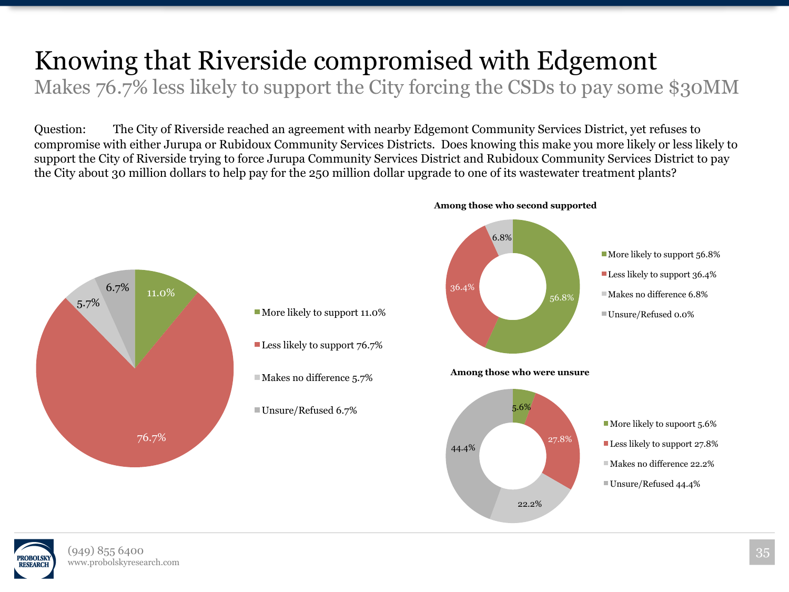## Knowing that Riverside compromised with Edgemont

Makes 76.7% less likely to support the City forcing the CSDs to pay some \$30MM

Question: The City of Riverside reached an agreement with nearby Edgemont Community Services District, yet refuses to compromise with either Jurupa or Rubidoux Community Services Districts. Does knowing this make you more likely or less likely to support the City of Riverside trying to force Jurupa Community Services District and Rubidoux Community Services District to pay the City about 30 million dollars to help pay for the 250 million dollar upgrade to one of its wastewater treatment plants?

![](_page_34_Figure_3.jpeg)

![](_page_34_Picture_4.jpeg)

![](_page_34_Picture_5.jpeg)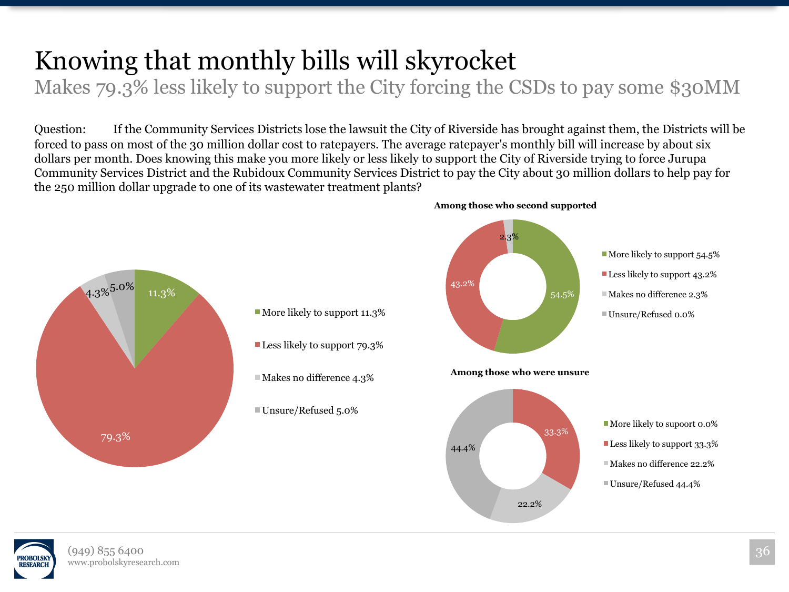## Knowing that monthly bills will skyrocket

Makes 79.3% less likely to support the City forcing the CSDs to pay some \$30MM

Question: If the Community Services Districts lose the lawsuit the City of Riverside has brought against them, the Districts will be forced to pass on most of the 30 million dollar cost to ratepayers. The average ratepayer's monthly bill will increase by about six dollars per month. Does knowing this make you more likely or less likely to support the City of Riverside trying to force Jurupa Community Services District and the Rubidoux Community Services District to pay the City about 30 million dollars to help pay for the 250 million dollar upgrade to one of its wastewater treatment plants?

![](_page_35_Figure_3.jpeg)

![](_page_35_Picture_4.jpeg)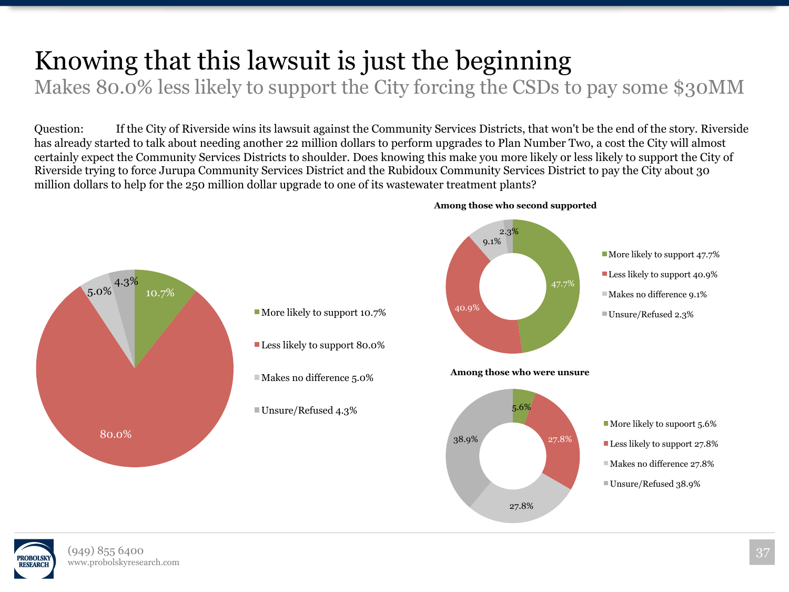## Knowing that this lawsuit is just the beginning

Makes 80.0% less likely to support the City forcing the CSDs to pay some \$30MM

Question: If the City of Riverside wins its lawsuit against the Community Services Districts, that won't be the end of the story. Riverside has already started to talk about needing another 22 million dollars to perform upgrades to Plan Number Two, a cost the City will almost certainly expect the Community Services Districts to shoulder. Does knowing this make you more likely or less likely to support the City of Riverside trying to force Jurupa Community Services District and the Rubidoux Community Services District to pay the City about 30 million dollars to help for the 250 million dollar upgrade to one of its wastewater treatment plants?

![](_page_36_Figure_3.jpeg)

**Among those who second supported** 

![](_page_36_Picture_5.jpeg)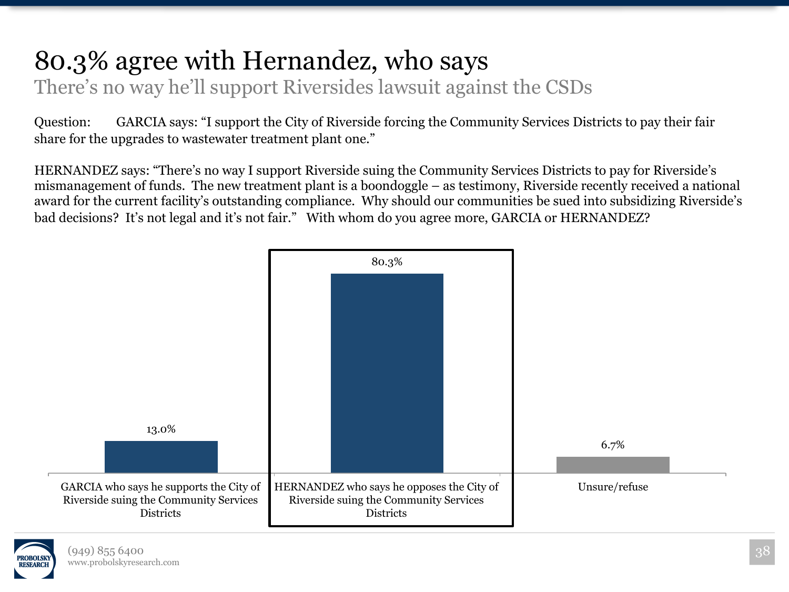#### 80.3% agree with Hernandez, who says There's no way he'll support Riversides lawsuit against the CSDs

Question: GARCIA says: "I support the City of Riverside forcing the Community Services Districts to pay their fair share for the upgrades to wastewater treatment plant one."

HERNANDEZ says: "There's no way I support Riverside suing the Community Services Districts to pay for Riverside's mismanagement of funds. The new treatment plant is a boondoggle – as testimony, Riverside recently received a national award for the current facility's outstanding compliance. Why should our communities be sued into subsidizing Riverside's bad decisions? It's not legal and it's not fair." With whom do you agree more, GARCIA or HERNANDEZ?

![](_page_37_Figure_3.jpeg)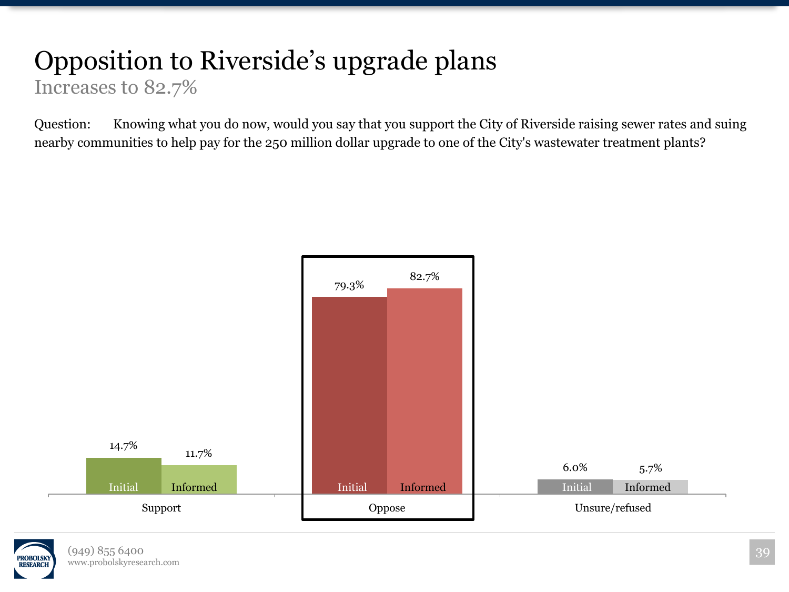## Opposition to Riverside's upgrade plans

Increases to 82.7%

![](_page_38_Figure_3.jpeg)

![](_page_38_Picture_4.jpeg)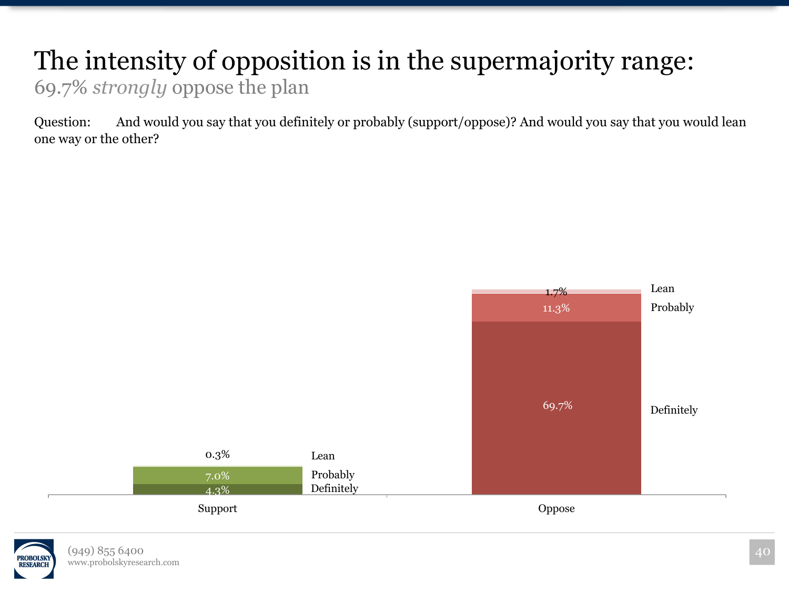#### The intensity of opposition is in the supermajority range: 69.7% *strongly* oppose the plan

Question: And would you say that you definitely or probably (support/oppose)? And would you say that you would lean one way or the other?

![](_page_39_Figure_2.jpeg)

![](_page_39_Picture_3.jpeg)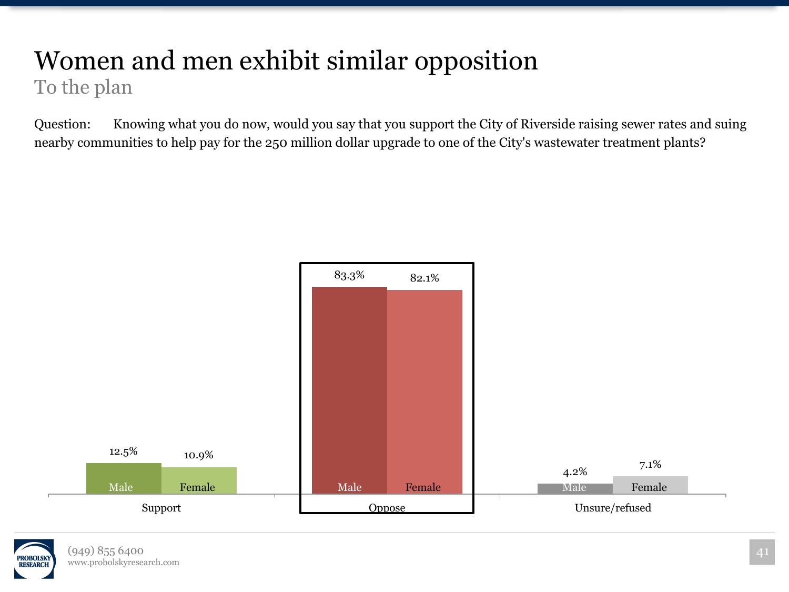#### Women and men exhibit similar opposition To the plan

![](_page_40_Figure_2.jpeg)

![](_page_40_Picture_3.jpeg)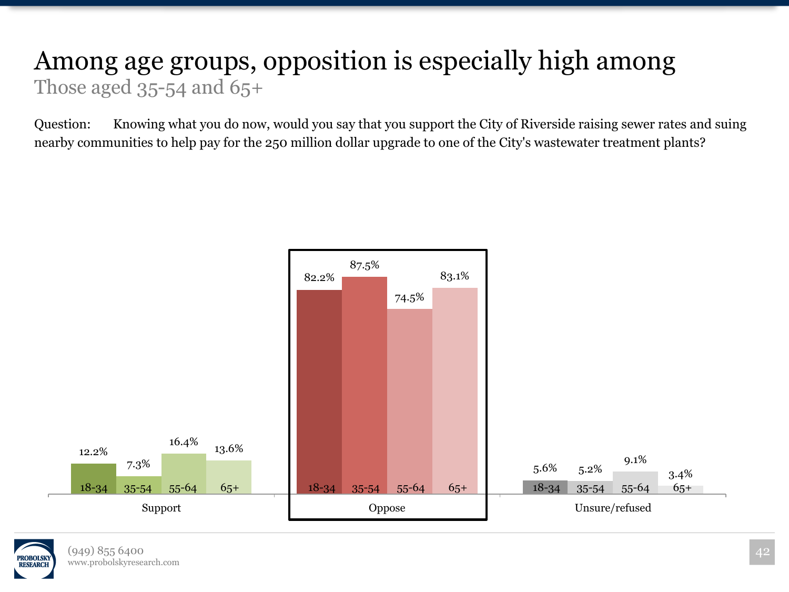#### Among age groups, opposition is especially high among Those aged  $35-54$  and  $65+$

![](_page_41_Figure_2.jpeg)

![](_page_41_Picture_3.jpeg)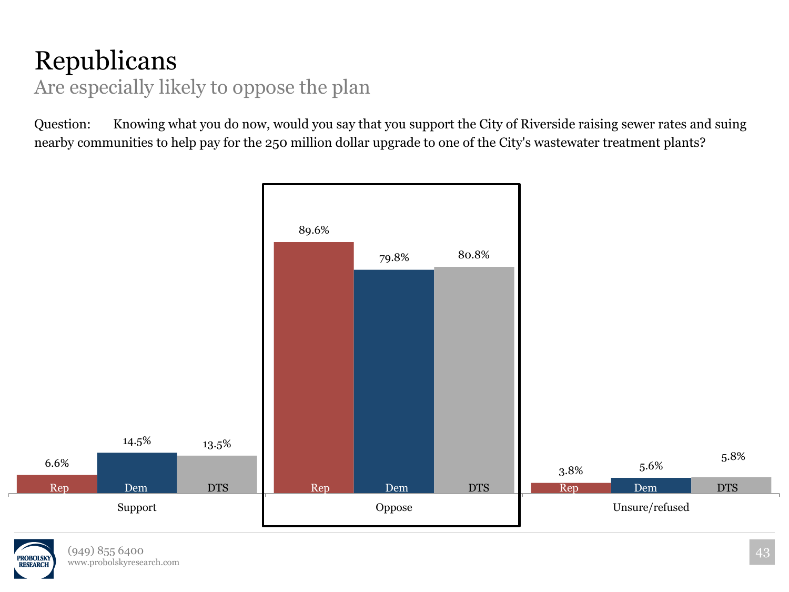#### Republicans Are especially likely to oppose the plan

![](_page_42_Figure_2.jpeg)

![](_page_42_Picture_3.jpeg)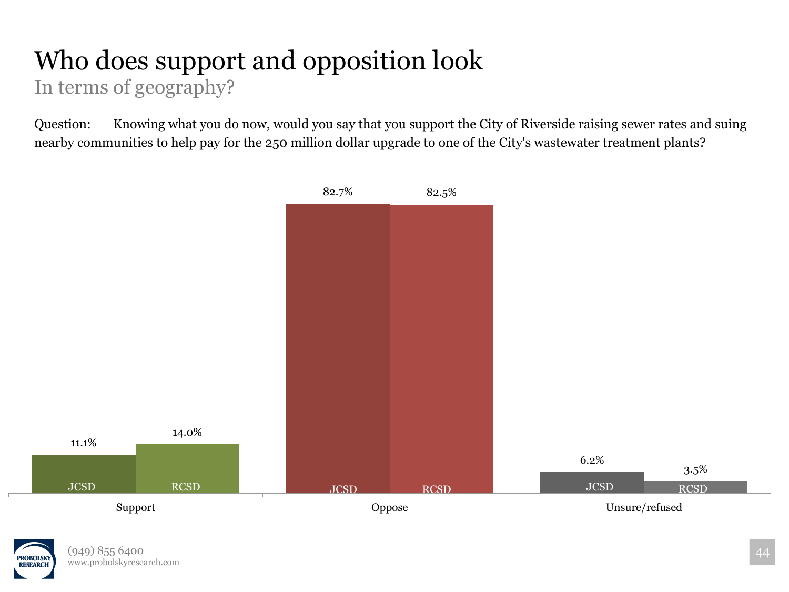#### Who does support and opposition look In terms of geography?

![](_page_43_Figure_2.jpeg)

![](_page_43_Picture_3.jpeg)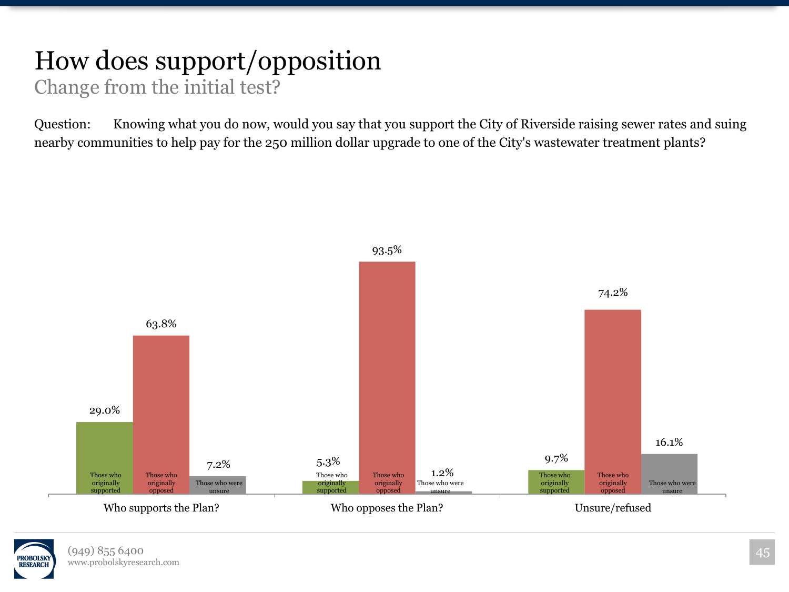#### How does support/opposition Change from the initial test?

![](_page_44_Figure_2.jpeg)

![](_page_44_Picture_3.jpeg)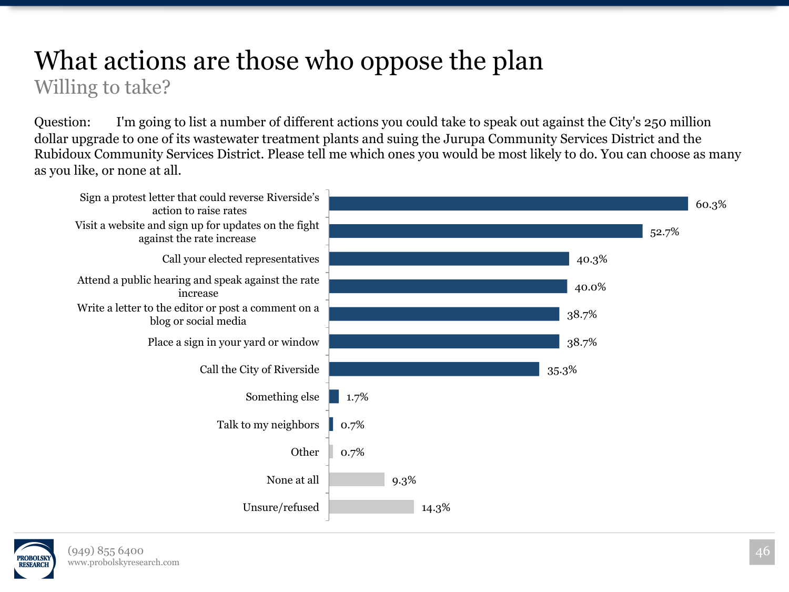#### What actions are those who oppose the plan Willing to take?

Question: I'm going to list a number of different actions you could take to speak out against the City's 250 million dollar upgrade to one of its wastewater treatment plants and suing the Jurupa Community Services District and the Rubidoux Community Services District. Please tell me which ones you would be most likely to do. You can choose as many as you like, or none at all.

![](_page_45_Figure_2.jpeg)

![](_page_45_Picture_3.jpeg)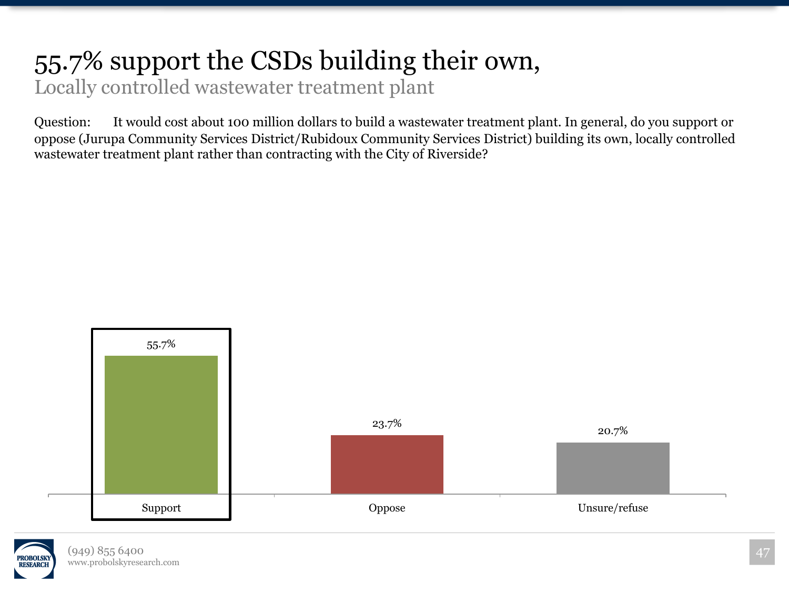#### 55.7% support the CSDs building their own,

Locally controlled wastewater treatment plant

Question: It would cost about 100 million dollars to build a wastewater treatment plant. In general, do you support or oppose (Jurupa Community Services District/Rubidoux Community Services District) building its own, locally controlled wastewater treatment plant rather than contracting with the City of Riverside?

![](_page_46_Figure_3.jpeg)

![](_page_46_Picture_4.jpeg)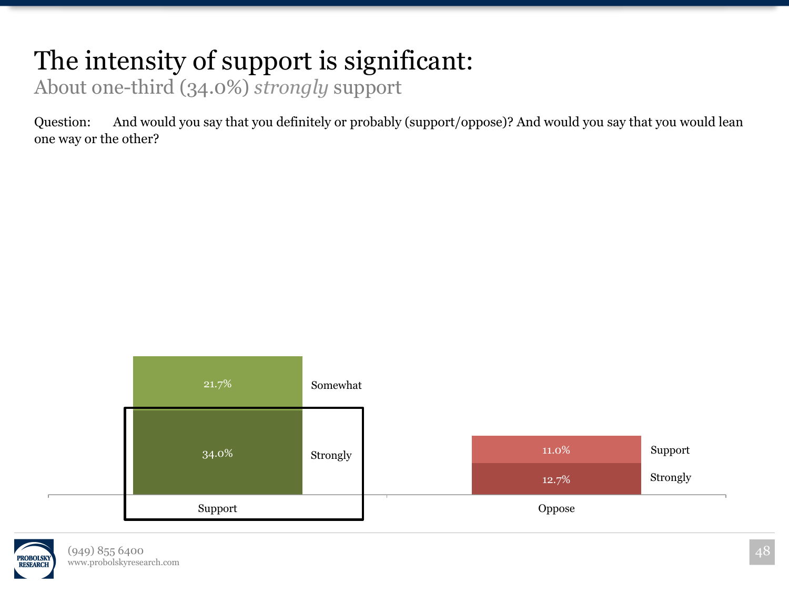## The intensity of support is significant:

About one-third (34.0%) *strongly* support

Question: And would you say that you definitely or probably (support/oppose)? And would you say that you would lean one way or the other?

![](_page_47_Figure_3.jpeg)

![](_page_47_Picture_4.jpeg)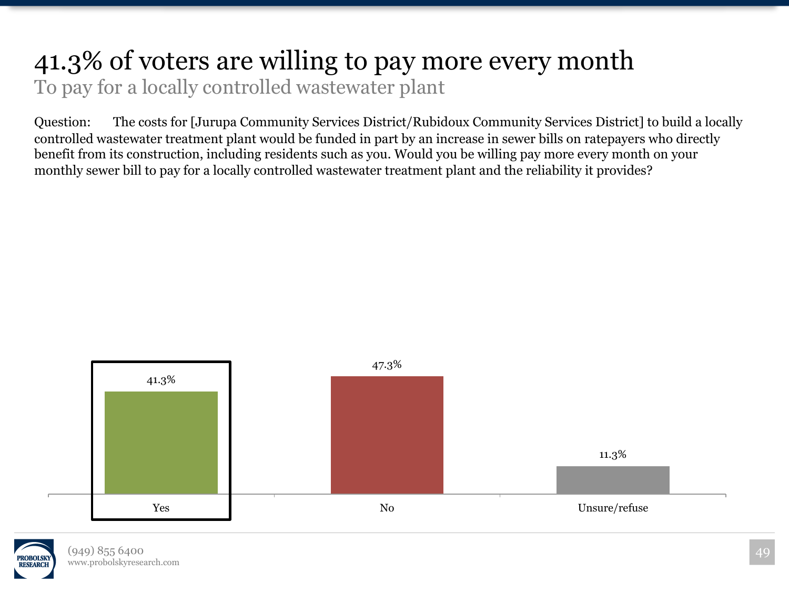#### 41.3% of voters are willing to pay more every month To pay for a locally controlled wastewater plant

Question: The costs for [Jurupa Community Services District/Rubidoux Community Services District] to build a locally controlled wastewater treatment plant would be funded in part by an increase in sewer bills on ratepayers who directly benefit from its construction, including residents such as you. Would you be willing pay more every month on your monthly sewer bill to pay for a locally controlled wastewater treatment plant and the reliability it provides?

![](_page_48_Figure_2.jpeg)

![](_page_48_Picture_3.jpeg)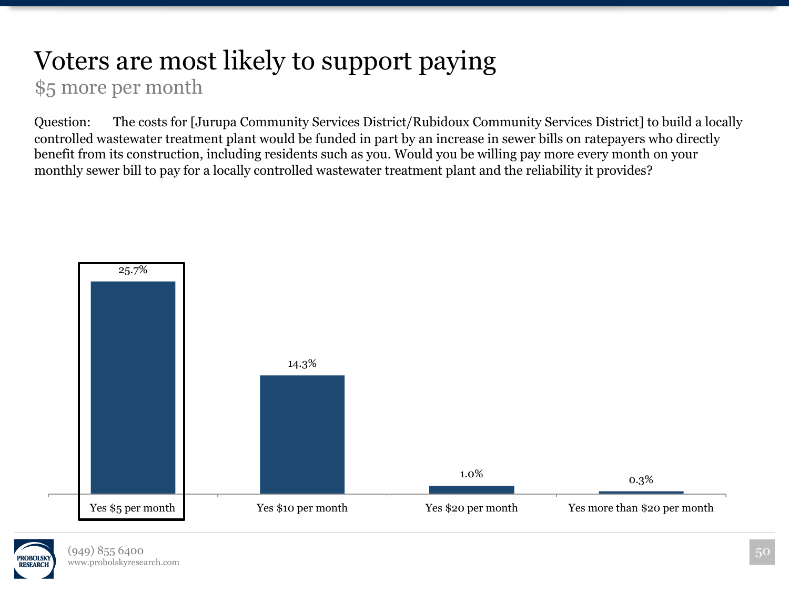#### Voters are most likely to support paying \$5 more per month

Question: The costs for [Jurupa Community Services District/Rubidoux Community Services District] to build a locally controlled wastewater treatment plant would be funded in part by an increase in sewer bills on ratepayers who directly benefit from its construction, including residents such as you. Would you be willing pay more every month on your monthly sewer bill to pay for a locally controlled wastewater treatment plant and the reliability it provides?

![](_page_49_Figure_2.jpeg)

![](_page_49_Picture_3.jpeg)